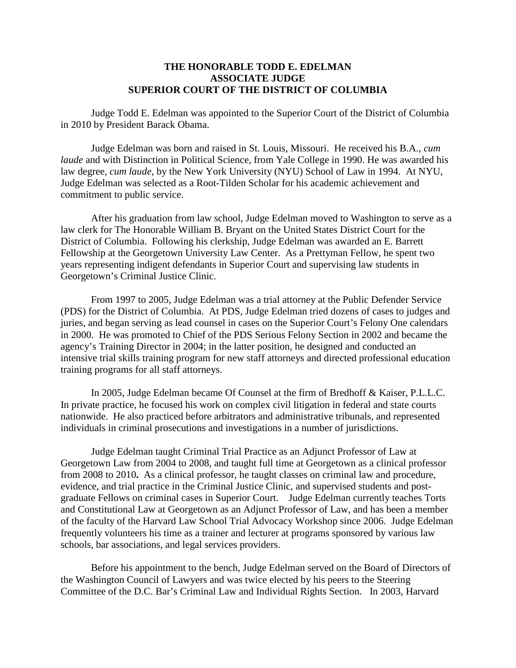## **THE HONORABLE TODD E. EDELMAN ASSOCIATE JUDGE SUPERIOR COURT OF THE DISTRICT OF COLUMBIA**

Judge Todd E. Edelman was appointed to the Superior Court of the District of Columbia in 2010 by President Barack Obama.

Judge Edelman was born and raised in St. Louis, Missouri. He received his B.A., *cum laude* and with Distinction in Political Science, from Yale College in 1990. He was awarded his law degree, *cum laude*, by the New York University (NYU) School of Law in 1994. At NYU, Judge Edelman was selected as a Root-Tilden Scholar for his academic achievement and commitment to public service.

After his graduation from law school, Judge Edelman moved to Washington to serve as a law clerk for The Honorable William B. Bryant on the United States District Court for the District of Columbia. Following his clerkship, Judge Edelman was awarded an E. Barrett Fellowship at the Georgetown University Law Center. As a Prettyman Fellow, he spent two years representing indigent defendants in Superior Court and supervising law students in Georgetown's Criminal Justice Clinic.

From 1997 to 2005, Judge Edelman was a trial attorney at the Public Defender Service (PDS) for the District of Columbia. At PDS, Judge Edelman tried dozens of cases to judges and juries, and began serving as lead counsel in cases on the Superior Court's Felony One calendars in 2000. He was promoted to Chief of the PDS Serious Felony Section in 2002 and became the agency's Training Director in 2004; in the latter position, he designed and conducted an intensive trial skills training program for new staff attorneys and directed professional education training programs for all staff attorneys.

In 2005, Judge Edelman became Of Counsel at the firm of Bredhoff & Kaiser, P.L.L.C. In private practice, he focused his work on complex civil litigation in federal and state courts nationwide. He also practiced before arbitrators and administrative tribunals, and represented individuals in criminal prosecutions and investigations in a number of jurisdictions.

Judge Edelman taught Criminal Trial Practice as an Adjunct Professor of Law at Georgetown Law from 2004 to 2008, and taught full time at Georgetown as a clinical professor from 2008 to 2010**.** As a clinical professor, he taught classes on criminal law and procedure, evidence, and trial practice in the Criminal Justice Clinic, and supervised students and postgraduate Fellows on criminal cases in Superior Court. Judge Edelman currently teaches Torts and Constitutional Law at Georgetown as an Adjunct Professor of Law, and has been a member of the faculty of the Harvard Law School Trial Advocacy Workshop since 2006. Judge Edelman frequently volunteers his time as a trainer and lecturer at programs sponsored by various law schools, bar associations, and legal services providers.

Before his appointment to the bench, Judge Edelman served on the Board of Directors of the Washington Council of Lawyers and was twice elected by his peers to the Steering Committee of the D.C. Bar's Criminal Law and Individual Rights Section. In 2003, Harvard